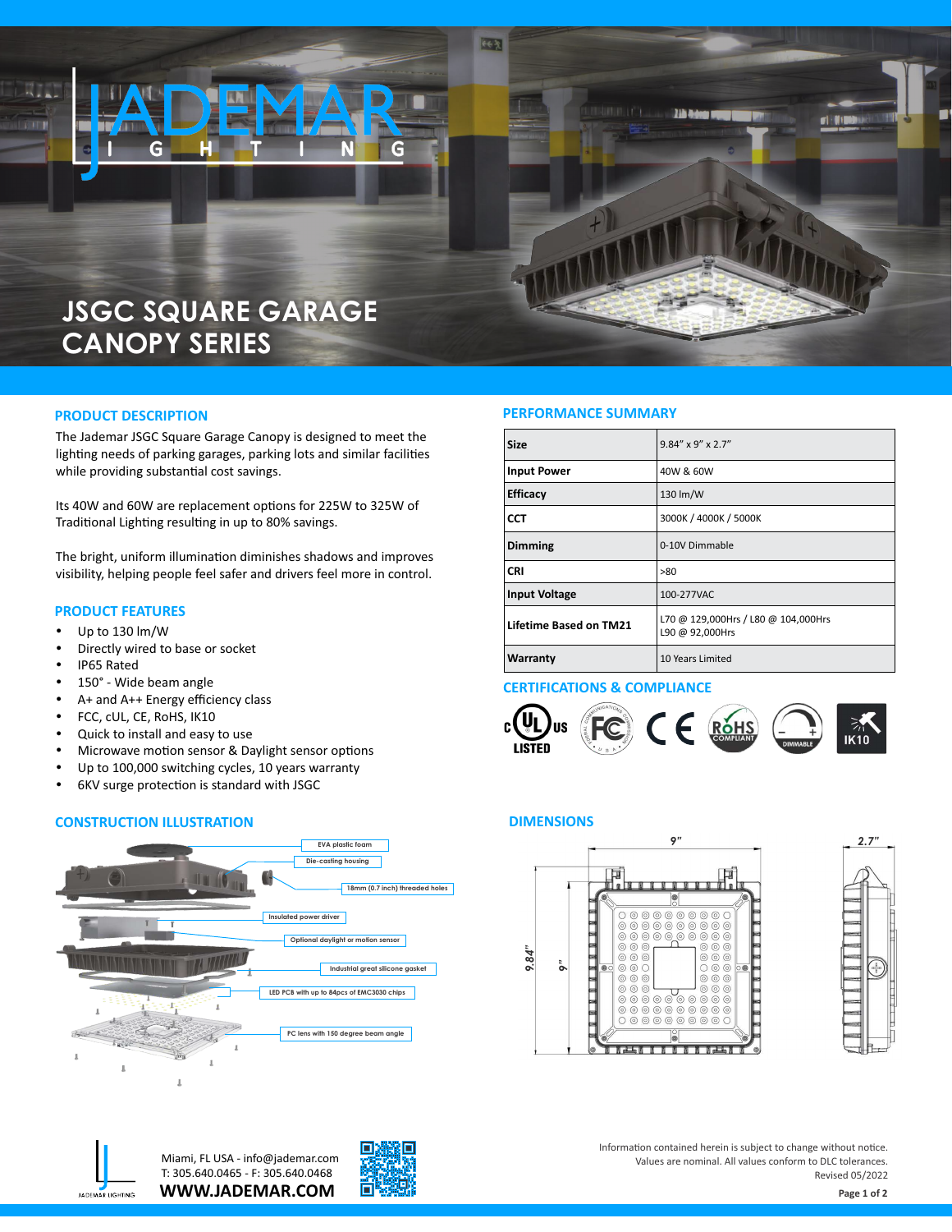

The Jademar JSGC Square Garage Canopy is designed to meet the lighting needs of parking garages, parking lots and similar facilities while providing substantial cost savings.

Its 40W and 60W are replacement options for 225W to 325W of Traditional Lighting resulting in up to 80% savings.

The bright, uniform illumination diminishes shadows and improves visibility, helping people feel safer and drivers feel more in control.

#### **PRODUCT FEATURES**

- Up to 130 lm/W
- Directly wired to base or socket
- IP65 Rated
- 150° Wide beam angle
- A+ and A++ Energy efficiency class
- FCC, cUL, CE, RoHS, IK10
- Quick to install and easy to use
- Microwave motion sensor & Daylight sensor options
- Up to 100,000 switching cycles, 10 years warranty
- 6KV surge protection is standard with JSGC

#### **CONSTRUCTION ILLUSTRATION**



### **PRODUCT DESCRIPTION PERFORMANCE SUMMARY**

| <b>Size</b>                   | $9.84'' \times 9'' \times 2.7''$                       |  |
|-------------------------------|--------------------------------------------------------|--|
| <b>Input Power</b>            | 40W & 60W                                              |  |
| <b>Efficacy</b>               | 130 lm/W                                               |  |
| <b>CCT</b>                    | 3000K / 4000K / 5000K                                  |  |
| <b>Dimming</b>                | 0-10V Dimmable                                         |  |
| <b>CRI</b>                    | >80                                                    |  |
| <b>Input Voltage</b>          | 100-277VAC                                             |  |
| <b>Lifetime Based on TM21</b> | L70 @ 129,000Hrs / L80 @ 104,000Hrs<br>L90 @ 92,000Hrs |  |
| <b>Warranty</b>               | 10 Years Limited                                       |  |

#### **CERTIFICATIONS & COMPLIANCE**



#### **DIMENSIONS**









Information contained herein is subject to change without notice. Values are nominal. All values conform to DLC tolerances. Revised 05/2022